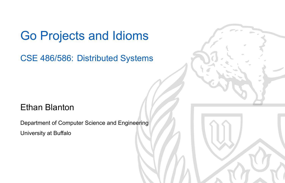## Go Projects and Idioms

CSE 486/586: Distributed Systems

### Ethan Blanton

Department of Computer Science and Engineering University at Buffalo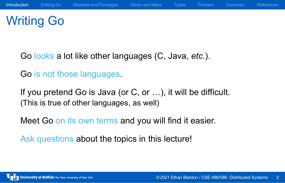# Writing Go

Go looks a lot like other languages (C, Java, *etc.*).

Go is not those languages.

If you pretend Go is Java (or C, or …), it will be difficult. (This is true of other languages, as well)

Meet Go on its own terms and you will find it easier.

Ask questions about the topics in this lecture!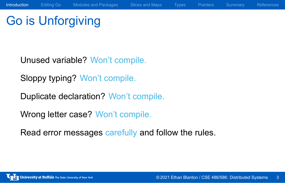Go is Unforgiving

Unused variable? Won't compile.

Sloppy typing? Won't compile.

Duplicate declaration? Won't compile.

Wrong letter case? Won't compile.

Read error messages carefully and follow the rules.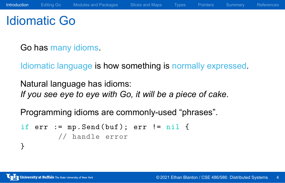# Idiomatic Go

Go has many idioms.

Idiomatic language is how something is normally expressed.

Natural language has idioms: *If you see eye to eye with Go, it will be a piece of cake.*

Programming idioms are commonly-used "phrases".

```
if err := mp.Send(buf); err != nil {
        // handle error
}
```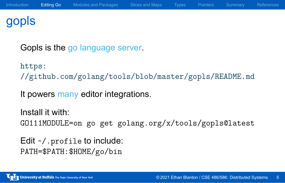## gopls

Gopls is the go language server.

https: //github.com/golang/tools/blob/master/gopls/README.md

It powers many editor integrations.

Install it with: GO111MODULE=on go get golang.org/x/tools/gopls@latest

Edit ~/.profile to include: PATH=\$PATH:\$HOME/go/bin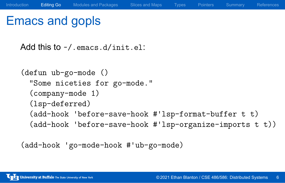## Emacs and gopls

(add-hook 'before-save-hook #'lsp-format-buffer t t) (add-hook 'before-save-hook #'lsp-organize-imports t t))

(defun ub-go-mode ()

(company-mode 1) (lsp-deferred)

Add this to  $\sim$ /. emacs.d/init.el:

"Some niceties for go-mode."

(add-hook 'go-mode-hook #'ub-go-mode)

Introduction Editing Go Modules and Packages Slices and Maps Types Pointers Summary References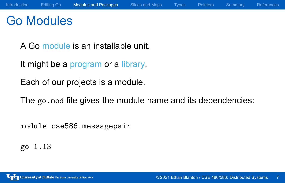# Go Modules

A Go module is an installable unit.

It might be a program or a library.

Each of our projects is a module.

The go.mod file gives the module name and its dependencies:

module cse586.messagepair

go 1.13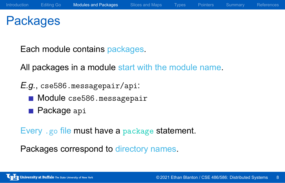# Packages

Each module contains packages.

All packages in a module start with the module name.

*E.g.*, cse586.messagepair/api:

- Module cse586.messagepair
- **Package** api

Every .go file must have a package statement.

Packages correspond to directory names.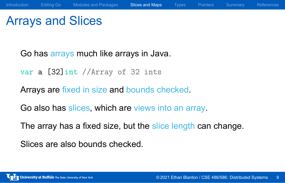# Arrays and Slices

Go has arrays much like arrays in Java.

var a [32]int //Array of 32 ints

Arrays are fixed in size and bounds checked.

Go also has slices, which are views into an array.

The array has a fixed size, but the slice length can change.

Slices are also bounds checked.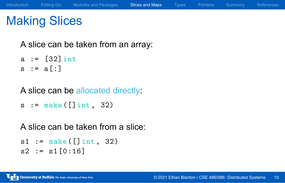# Making Slices

A slice can be taken from an array:

a :=  $[32]$  int  $s := a[:]$ 

A slice can be allocated directly:

```
s := make([]int, 32)
```
A slice can be taken from a slice:

 $s1 := make([]int, 32)$  $s2 := s1[0:16]$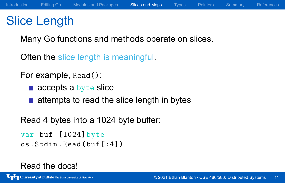## Slice Length

Many Go functions and methods operate on slices.

Often the slice length is meaningful.

For example, Read():

- accepts a byte slice
- $\blacksquare$  attempts to read the slice length in bytes

Read 4 bytes into a 1024 byte buffer:

```
var buf [1024]byte
os.Stdin.Read(buf[:4])
```
### Read the docs!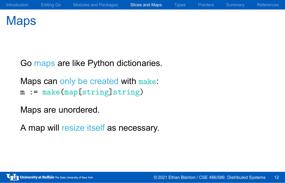# Maps

Go maps are like Python dictionaries.

Maps can only be created with make: m := make(map[string]string)

Maps are unordered.

A map will resize itself as necessary.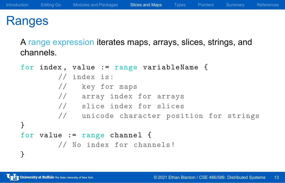## Ranges

A range expression iterates maps, arrays, slices, strings, and channels.

```
for index , value := range variableName {
       // index is:
        // key for maps
       // array index for arrays
       // slice index for slices
        // unicode character position for strings
}
for value := range channel {
        // No index for channels!
}
```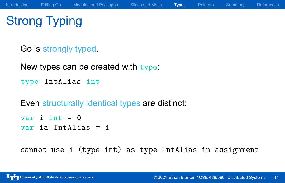# Strong Typing

Go is strongly typed.

New types can be created with type:

type IntAlias int

Even structurally identical types are distinct:

var i int  $= 0$ var ia IntAlias = i

cannot use i (type int) as type IntAlias in assignment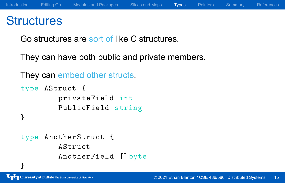### **Structures**

Go structures are sort of like C structures.

They can have both public and private members.

They can embed other structs.

```
type AStruct {
        privateField int
        PublicField string
}
type AnotherStruct {
        AStruct
        AnotherField []byte
}
```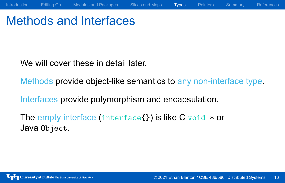# Methods and Interfaces

We will cover these in detail later.

Methods provide object-like semantics to any non-interface type.

Introduction Editing Go Modules and Packages Slices and Maps Types Pointers Summary References

Interfaces provide polymorphism and encapsulation.

The empty interface (interface{}) is like C void \* or Java Object.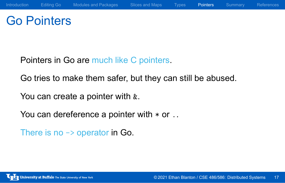# Go Pointers

Pointers in Go are much like C pointers.

Go tries to make them safer, but they can still be abused.

You can create a pointer with  $\&$ .

You can dereference a pointer with  $*$  or ..

There is no  $\rightarrow$  operator in Go.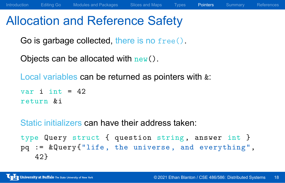Allocation and Reference Safety

Go is garbage collected, there is no free().

Objects can be allocated with  $new()$ .

Local variables can be returned as pointers with  $\&$ :

```
var i int = 42return &i
```
Static initializers can have their address taken:

```
type Query struct { question string, answer int }
pq := &Query{"life , the universe , and everything",
   42}
```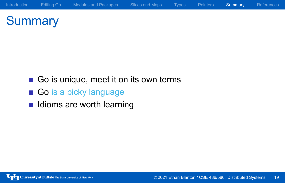# **Summary**

Go is unique, meet it on its own terms

Introduction Editing Go Modules and Packages Slices and Maps Types Pointers Summary References

- Go is a picky language
- **In Idioms are worth learning**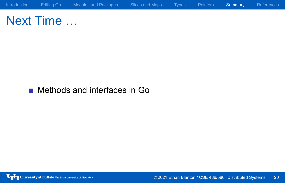Next Time …

**Methods and interfaces in Go**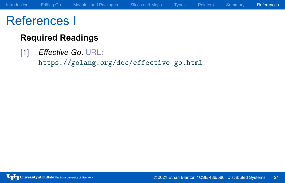# References I

### **Required Readings**

[1] *Effective Go*. URL: https://golang.org/doc/effective\_go.html.